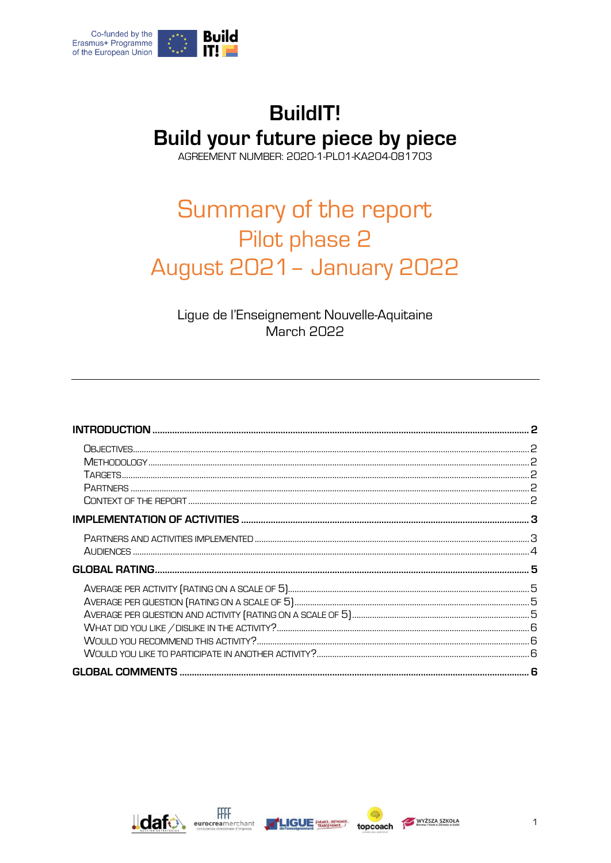

# **BuildIT!** Build your future piece by piece

AGREEMENT NUMBER: 2020-1-PL01-KA204-081703

# Summary of the report Pilot phase 2 **August 2021 - January 2022**

Ligue de l'Enseignement Nouvelle-Aquitaine **March 2022** 





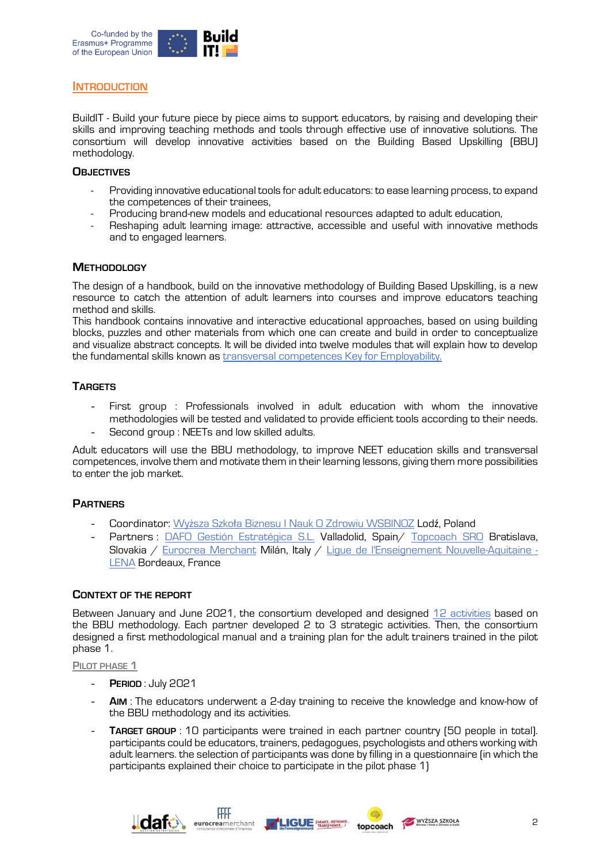

#### <span id="page-1-0"></span>**INTRODUCTION**

BuildIT - Build your future piece by piece aims to support educators, by raising and developing their skills and improving teaching methods and tools through effective use of innovative solutions. The consortium will develop innovative activities based on the Building Based Upskilling (BBU) methodology.

#### <span id="page-1-1"></span>**OBJECTIVES**

- Providing innovative educational tools for adult educators: to ease learning process, to expand the competences of their trainees,
- Producing brand-new models and educational resources adapted to adult education,
- Reshaping adult learning image: attractive, accessible and useful with innovative methods and to engaged learners.

#### <span id="page-1-2"></span>**METHODOLOGY**

The design of a handbook, build on the innovative methodology of Building Based Upskilling, is a new resource to catch the attention of adult learners into courses and improve educators teaching method and skills.

This handbook contains innovative and interactive educational approaches, based on using building blocks, puzzles and other materials from which one can create and build in order to conceptualize and visualize abstract concepts. It will be divided into twelve modules that will explain how to develop the fundamental skills known as transversal [competences Key for Employability.](http://keystart2work.eu/images/docs/o2-catalogue/O2_Catalogue_EN.pdf)

#### <span id="page-1-3"></span>**TARGETS**

- First group : Professionals involved in adult education with whom the innovative methodologies will be tested and validated to provide efficient tools according to their needs.
- Second group : NEETs and low skilled adults.

Adult educators will use the BBU methodology, to improve NEET education skills and transversal competences, involve them and motivate them in their learning lessons, giving them more possibilities to enter the job market.

#### <span id="page-1-4"></span>**PARTNERS**

- Coordinator: Wyższa Szkoł[a Biznesu I Nauk O Zdrowiu WSBINOZ](https://www.medyk.edu.pl/) Lodź, Poland
- Partners : [DAFO Gestión Estratégica S.L.](https://www.dafogestion.com/) Valladolid, Spain/ [Topcoach SRO](https://www.topcoach.sk/) Bratislava, Slovakia / [Eurocrea Merchant](http://www.eurocreamerchant.it/) Milán, Italy / [Ligue de l'Enseignement Nouvelle-Aquitaine](https://liguenouvelleaquitaine.org/) - LENA Bordeaux, France

#### <span id="page-1-5"></span>**CONTEXT OF THE REPORT**

Between January and June 2021, the consortium developed and designed [12 activities](http://keystart2work.eu/images/docs/o2-catalogue/O2_Catalogue_EN.pdf) based on the BBU methodology. Each partner developed 2 to 3 strategic activities. Then, the consortium designed a first methodological manual and a training plan for the adult trainers trained in the pilot phase 1.

#### **PILOT PHASE 1**

- **PERIOD** : July 2021
- AIM: The educators underwent a 2-day training to receive the knowledge and know-how of the BBU methodology and its activities.
- **TARGET GROUP**: 10 participants were trained in each partner country (50 people in total). participants could be educators, trainers, pedagogues, psychologists and others working with adult learners. the selection of participants was done by filling in a questionnaire (in which the participants explained their choice to participate in the pilot phase 1)

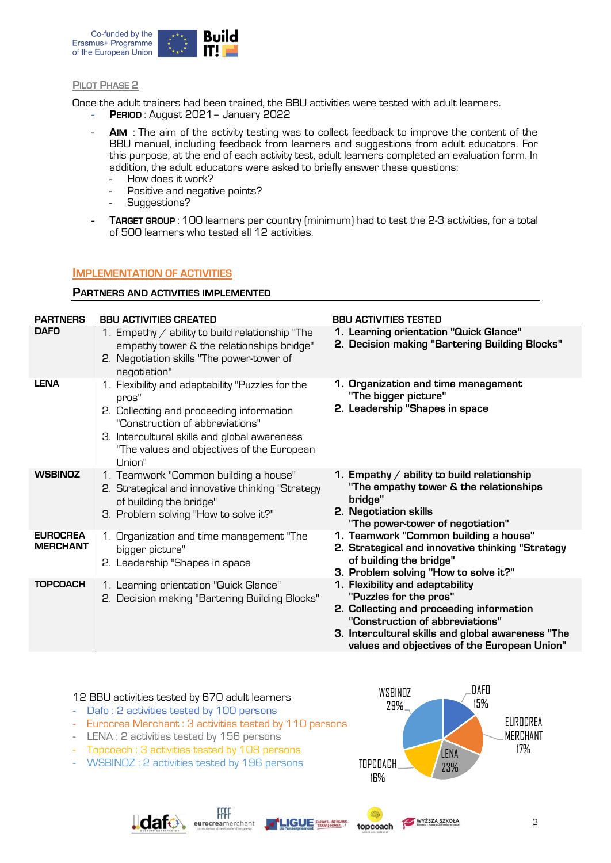

#### **PILOT PHASE 2**

Once the adult trainers had been trained, the BBU activities were tested with adult learners.

- **PERIOD** : August 2021– January 2022
- **AIM** : The aim of the activity testing was to collect feedback to improve the content of the BBU manual, including feedback from learners and suggestions from adult educators. For this purpose, at the end of each activity test, adult learners completed an evaluation form. In addition, the adult educators were asked to briefly answer these questions:
	- How does it work?
	- Positive and negative points?
	- Suggestions?
- **TARGET GROUP** : 100 learners per country (minimum) had to test the 2-3 activities, for a total of 500 learners who tested all 12 activities.

#### <span id="page-2-0"></span>**IMPLEMENTATION OF ACTIVITIES**

#### <span id="page-2-1"></span>**PARTNERS AND ACTIVITIES IMPLEMENTED**

| <b>PARTNERS</b>                    | <b>BBU ACTIVITIES CREATED</b>                                                                                                                                                                                                                    | <b>BBU ACTIVITIES TESTED</b>                                                                                                                                                                                                                  |
|------------------------------------|--------------------------------------------------------------------------------------------------------------------------------------------------------------------------------------------------------------------------------------------------|-----------------------------------------------------------------------------------------------------------------------------------------------------------------------------------------------------------------------------------------------|
| <b>DAFO</b>                        | 1. Empathy $/$ ability to build relationship "The<br>empathy tower & the relationships bridge"<br>2. Negotiation skills "The power-tower of<br>negotiation"                                                                                      | 1. Learning orientation "Quick Glance"<br>2. Decision making "Bartering Building Blocks"                                                                                                                                                      |
| <b>LENA</b>                        | 1. Flexibility and adaptability "Puzzles for the<br>pros"<br>2. Collecting and proceeding information<br>"Construction of abbreviations"<br>3. Intercultural skills and global awareness<br>"The values and objectives of the European<br>Union" | 1. Organization and time management<br>"The bigger picture"<br>2. Leadership "Shapes in space                                                                                                                                                 |
| <b>WSBINOZ</b>                     | 1. Teamwork "Common building a house"<br>2. Strategical and innovative thinking "Strategy<br>of building the bridge"<br>3. Problem solving "How to solve it?"                                                                                    | 1. Empathy / ability to build relationship<br>"The empathy tower & the relationships<br>bridge"<br>2. Negotiation skills<br>"The power-tower of negotiation"                                                                                  |
| <b>EUROCREA</b><br><b>MERCHANT</b> | 1. Organization and time management "The<br>bigger picture"<br>2. Leadership "Shapes in space                                                                                                                                                    | 1. Teamwork "Common building a house"<br>2. Strategical and innovative thinking "Strategy<br>of building the bridge"<br>3. Problem solving "How to solve it?"                                                                                 |
| <b>TOPCOACH</b>                    | 1. Learning orientation "Quick Glance"<br>2. Decision making "Bartering Building Blocks"                                                                                                                                                         | 1. Flexibility and adaptability<br>"Puzzles for the pros"<br>2. Collecting and proceeding information<br>"Construction of abbreviations"<br>3. Intercultural skills and global awareness "The<br>values and objectives of the European Union" |

#### 12 BBU activities tested by 670 adult learners

- Dafo : 2 activities tested by 100 persons
- Eurocrea Merchant : 3 activities tested by 110 persons

FFFF

eurocreamerchant

- LENA : 2 activities tested by 156 persons

**J**dato

- Topcoach : 3 activities tested by 108 persons
- WSBINOZ : 2 activities tested by 196 persons





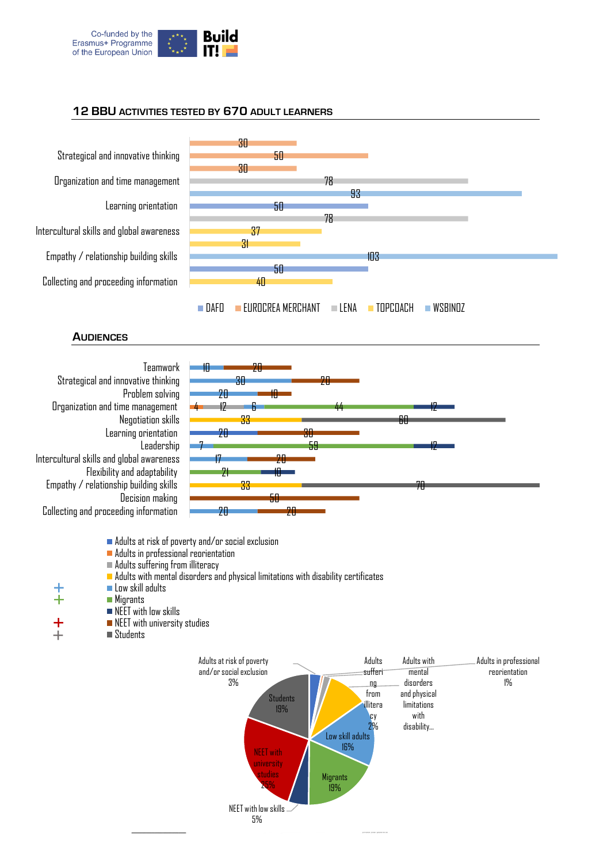

## **12 BBU ACTIVITIES TESTED BY 670 ADULT LEARNERS**



20

<span id="page-3-0"></span>Collecting and proceeding information

Adults at risk of poverty and/or social exclusion

- **Adults in professional reorientation**
- Adults suffering from illiteracy
- Adults with mental disorders and physical limitations with disability certificates

20

- Low skill adults
- **Migrants**
- NEET with low skills
	- NEET with university studies
- Students

 $\ddagger$ 

 $+$ ÷

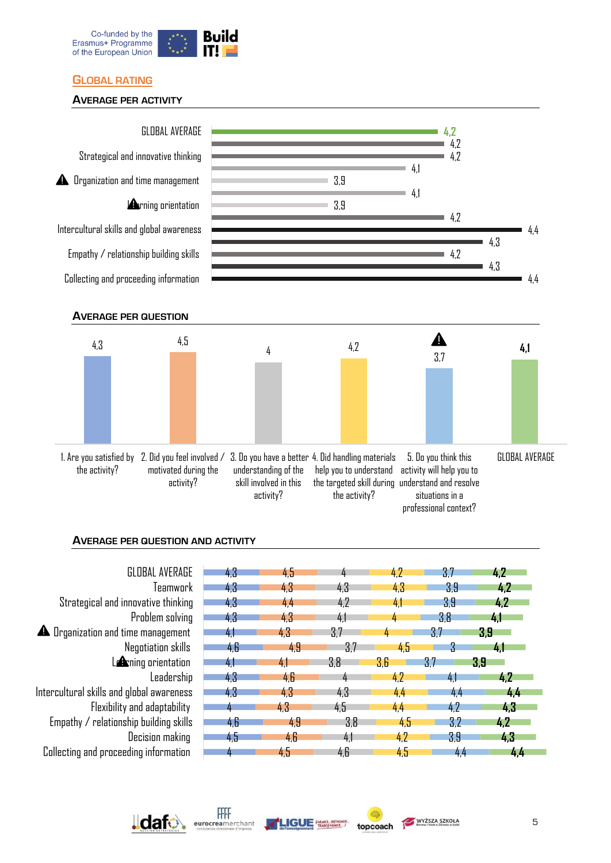

# <span id="page-4-0"></span>**GLOBAL RATING**

## <span id="page-4-1"></span>**AVERAGE PER ACTIVITY**

<span id="page-4-2"></span>

## <span id="page-4-3"></span>**AVERAGE PER QUESTION AND ACTIVITY**

| GLOBAL AVERAGE                            | 43             | 4.5            |       | 4.2 | 37  | 4.2          |
|-------------------------------------------|----------------|----------------|-------|-----|-----|--------------|
| Teamwork                                  | 43             | 43             | 4.3   | 4.3 | 3.9 | 4.2          |
| Strategical and innovative thinking       | 4.3            | 4.4            | 4.2   | 4,  | 3.9 | 4.2          |
| Problem solving                           | 43             | 43             | 4.1   |     | 3.8 | 4.           |
| <b>A</b> Drganization and time management | 4 <sup>1</sup> | 4.3            | 3.7   |     | 3.7 | 3.9          |
| Negotiation skills                        | 4.6            | 4.9            | 3.7   | 4,5 | 3   | $\mathbf{A}$ |
| $L$ $\triangle$ ning orientation          | 41             | 4 <sub>1</sub> | 3.8   | 3.6 | 3.7 | 3.9          |
| Leadership                                | 43             | 4,6            | $\mu$ | 4.2 | 41  | 4.2          |
| Intercultural skills and global awareness | 43             | 4.3            | 4.3   | 44  | 44  | 4,4          |
| Flexibility and adaptability              |                | 4.3            | 4.5   | 4,4 | 4.2 | 4.3          |
| Empathy / relationship building skills    | 46             | 49             | 3.8   | 4.5 | 3.2 | 4.2          |
| Decision making                           | 4.5            | 4.6            | 4.1   | 4.2 | 3.9 | 4.3          |
| Collecting and proceeding information     |                | 4,5            | 4.6   | 4,5 | 4,4 | 4,4          |





topcoach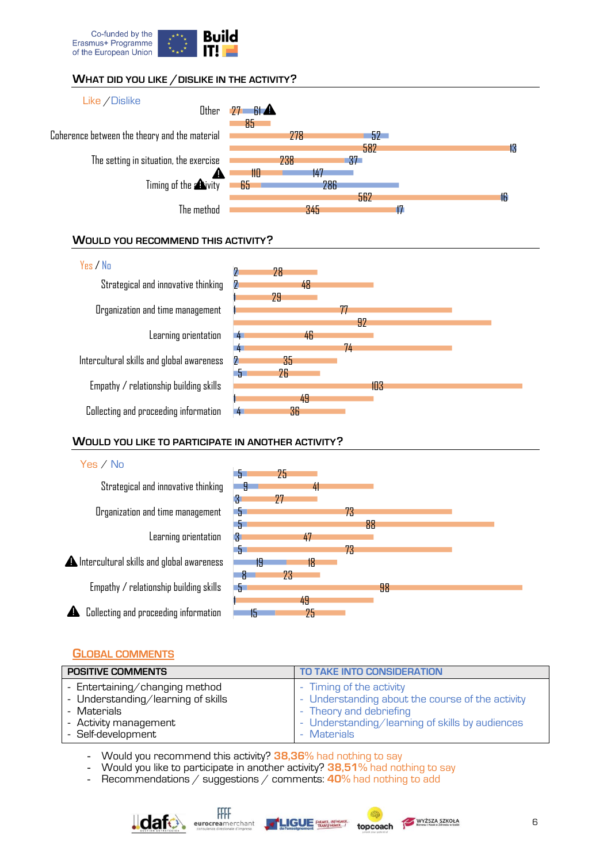

# <span id="page-5-0"></span>**WHAT DID YOU LIKE /DISLIKE IN THE ACTIVITY?**



#### <span id="page-5-1"></span>**WOULD YOU RECOMMEND THIS ACTIVITY?**



#### <span id="page-5-2"></span>**WOULD YOU LIKE TO PARTICIPATE IN ANOTHER ACTIVITY?**



#### <span id="page-5-3"></span>**GLOBAL COMMENTS**

| <b>POSITIVE COMMENTS</b>           | TO TAKE INTO CONSIDERATION                       |
|------------------------------------|--------------------------------------------------|
| - Entertaining/changing method     | - Timing of the activity                         |
| - Understanding/learning of skills | - Understanding about the course of the activity |
| - Materials                        | - Theory and debriefing                          |
| - Activity management              | - Understanding/learning of skills by audiences  |
| - Self-development                 | - Materials                                      |

- Would you recommend this activity? **38,36%** had nothing to say

- Would you like to participate in another activity? **38,51%** had nothing to say

- Recommendations / suggestions / comments: **40%** had nothing to add